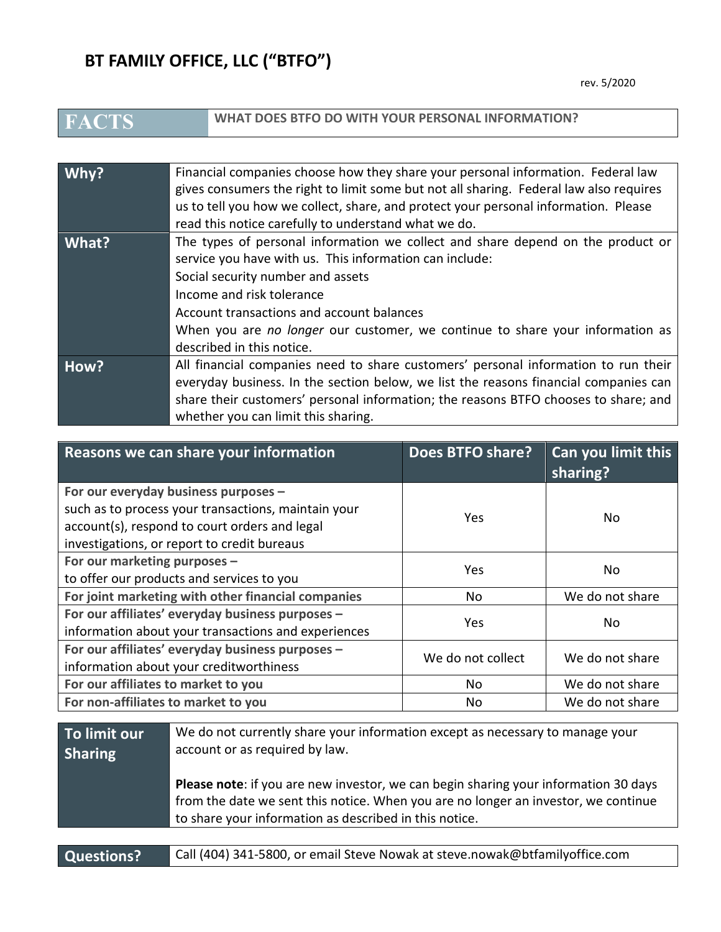## **BT FAMILY OFFICE, LLC ("BTFO")**

**WHAT DOES BTFO DO WITH YOUR PERSONAL INFORMATION?** 

| $W$ hy? | Financial companies choose how they share your personal information. Federal law<br>gives consumers the right to limit some but not all sharing. Federal law also requires<br>us to tell you how we collect, share, and protect your personal information. Please<br>read this notice carefully to understand what we do.                                               |
|---------|-------------------------------------------------------------------------------------------------------------------------------------------------------------------------------------------------------------------------------------------------------------------------------------------------------------------------------------------------------------------------|
| What?   | The types of personal information we collect and share depend on the product or<br>service you have with us. This information can include:<br>Social security number and assets<br>Income and risk tolerance<br>Account transactions and account balances<br>When you are no longer our customer, we continue to share your information as<br>described in this notice. |
| How?    | All financial companies need to share customers' personal information to run their<br>everyday business. In the section below, we list the reasons financial companies can<br>share their customers' personal information; the reasons BTFO chooses to share; and<br>whether you can limit this sharing.                                                                |

| Reasons we can share your information                                                                                                                                                       | Does BTFO share?  | Can you limit this<br>sharing? |
|---------------------------------------------------------------------------------------------------------------------------------------------------------------------------------------------|-------------------|--------------------------------|
| For our everyday business purposes -<br>such as to process your transactions, maintain your<br>account(s), respond to court orders and legal<br>investigations, or report to credit bureaus | Yes               | No.                            |
| For our marketing purposes -<br>to offer our products and services to you                                                                                                                   | Yes               | No                             |
| For joint marketing with other financial companies                                                                                                                                          | No.               | We do not share                |
| For our affiliates' everyday business purposes -<br>information about your transactions and experiences                                                                                     | Yes               | No.                            |
| For our affiliates' everyday business purposes -<br>information about your creditworthiness                                                                                                 | We do not collect | We do not share                |
| For our affiliates to market to you                                                                                                                                                         | No.               | We do not share                |
| For non-affiliates to market to you                                                                                                                                                         | No                | We do not share                |

| To limit our   | We do not currently share your information except as necessary to manage your                                                                                                                                                              |
|----------------|--------------------------------------------------------------------------------------------------------------------------------------------------------------------------------------------------------------------------------------------|
| <b>Sharing</b> | account or as required by law.                                                                                                                                                                                                             |
|                | <b>Please note:</b> if you are new investor, we can begin sharing your information 30 days<br>from the date we sent this notice. When you are no longer an investor, we continue<br>to share your information as described in this notice. |

**Questions?** Call (404) 341-5800, or email Steve Nowak at steve.nowak@btfamilyoffice.com